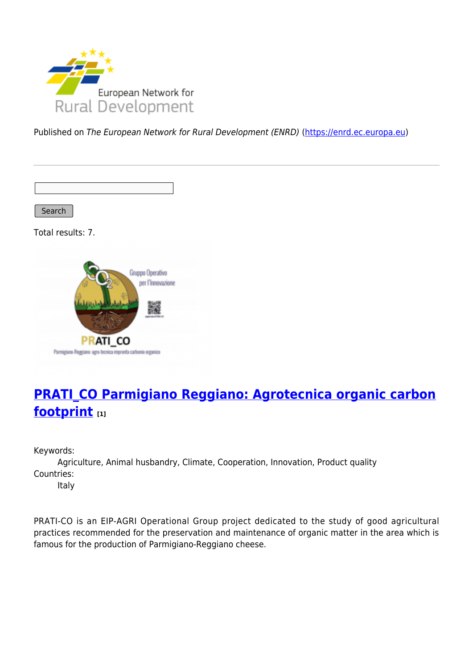

Published on The European Network for Rural Development (ENRD) [\(https://enrd.ec.europa.eu](https://enrd.ec.europa.eu))

Search

Total results: 7.



## **[PRATI\\_CO Parmigiano Reggiano: Agrotecnica organic carbon](https://enrd.ec.europa.eu/projects-practice/pratico-parmigiano-reggiano-agrotecnica-organic-carbon-footprint_en) [footprint](https://enrd.ec.europa.eu/projects-practice/pratico-parmigiano-reggiano-agrotecnica-organic-carbon-footprint_en) [1]**

Keywords:

Agriculture, Animal husbandry, Climate, Cooperation, Innovation, Product quality Countries:

Italy

PRATI-CO is an EIP-AGRI Operational Group project dedicated to the study of good agricultural practices recommended for the preservation and maintenance of organic matter in the area which is famous for the production of Parmigiano-Reggiano cheese.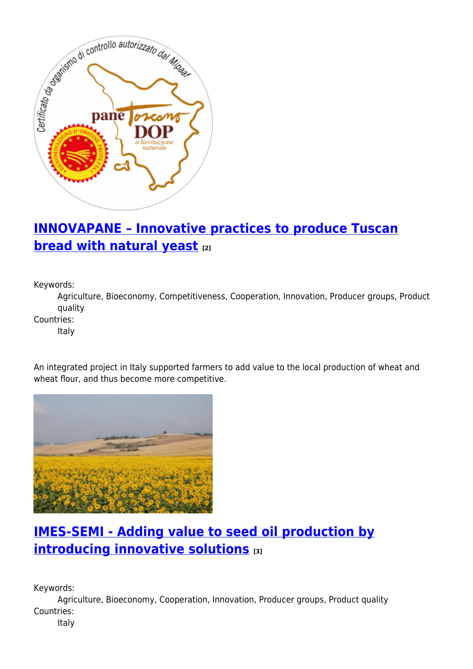

# **[INNOVAPANE – Innovative practices to produce Tuscan](https://enrd.ec.europa.eu/projects-practice/innovapane-innovative-practices-produce-tuscan-bread-natural-yeast_en) [bread with natural yeast](https://enrd.ec.europa.eu/projects-practice/innovapane-innovative-practices-produce-tuscan-bread-natural-yeast_en) [2]**

Keywords:

Agriculture, Bioeconomy, Competitiveness, Cooperation, Innovation, Producer groups, Product quality

Countries:

Italy

An integrated project in Italy supported farmers to add value to the local production of wheat and wheat flour, and thus become more competitive.



## **[IMES-SEMI - Adding value to seed oil production by](https://enrd.ec.europa.eu/projects-practice/imes-semi-adding-value-seed-oil-production-introducing-innovative-solutions_en) [introducing innovative solutions](https://enrd.ec.europa.eu/projects-practice/imes-semi-adding-value-seed-oil-production-introducing-innovative-solutions_en) [3]**

Keywords:

Agriculture, Bioeconomy, Cooperation, Innovation, Producer groups, Product quality Countries:

Italy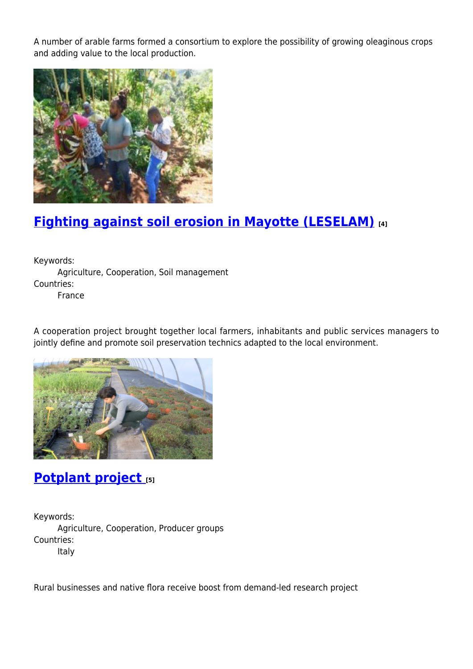A number of arable farms formed a consortium to explore the possibility of growing oleaginous crops and adding value to the local production.



## **[Fighting against soil erosion in Mayotte \(LESELAM\)](https://enrd.ec.europa.eu/projects-practice/fighting-against-soil-erosion-mayotte-leselam_en) [4]**

Keywords: Agriculture, Cooperation, Soil management Countries: France

A cooperation project brought together local farmers, inhabitants and public services managers to jointly define and promote soil preservation technics adapted to the local environment.



### **[Potplant project](https://enrd.ec.europa.eu/projects-practice/potplant-project_en) [5]**

Keywords: Agriculture, Cooperation, Producer groups Countries: Italy

Rural businesses and native flora receive boost from demand-led research project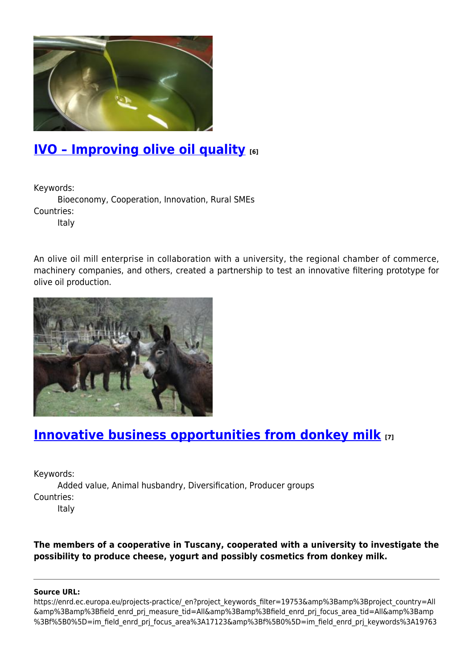

## **[IVO – Improving olive oil quality](https://enrd.ec.europa.eu/projects-practice/ivo-%E2%80%93-improving-olive-oil-quality-0_en) [6]**

Keywords:

Bioeconomy, Cooperation, Innovation, Rural SMEs Countries:

Italy

An olive oil mill enterprise in collaboration with a university, the regional chamber of commerce, machinery companies, and others, created a partnership to test an innovative filtering prototype for olive oil production.



## **[Innovative business opportunities from donkey milk](https://enrd.ec.europa.eu/projects-practice/innovative-business-opportunities-donkey-milk_en) [7]**

Keywords:

Added value, Animal husbandry, Diversification, Producer groups Countries: Italy

**The members of a cooperative in Tuscany, cooperated with a university to investigate the possibility to produce cheese, yogurt and possibly cosmetics from donkey milk.** 

#### **Source URL:**

https://enrd.ec.europa.eu/projects-practice/\_en?project\_keywords\_filter=19753&amp%3Bamp%3Bproject\_country=All &amp%3Bamp%3Bfield\_enrd\_prj\_measure\_tid=All&amp%3Bamp%3Bfield\_enrd\_prj\_focus\_area\_tid=All&amp%3Bamp %3Bf%5B0%5D=im\_field\_enrd\_prj\_focus\_area%3A17123&amp%3Bf%5B0%5D=im\_field\_enrd\_prj\_keywords%3A19763